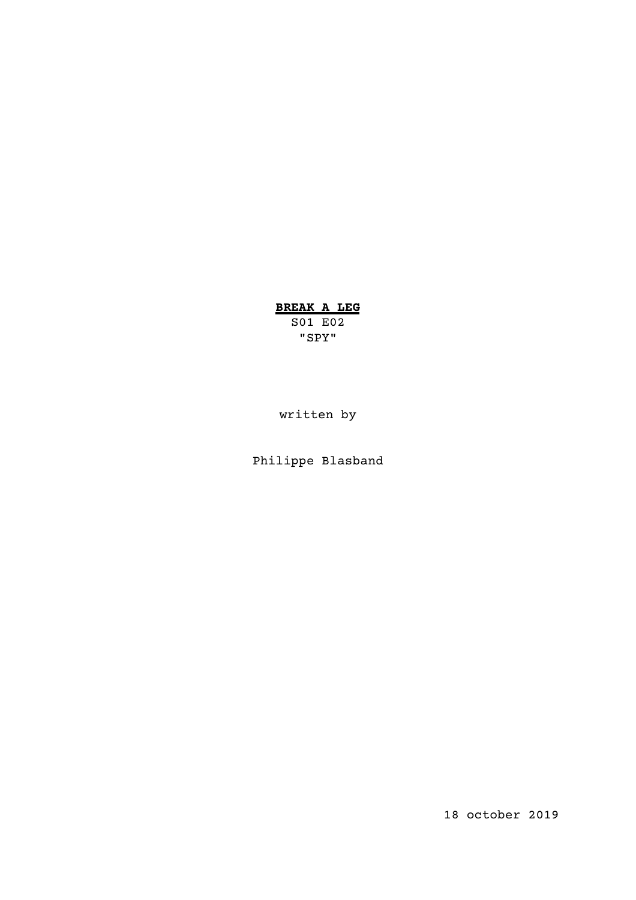# **BREAK A LEG**

S01 E02 "SPY"

written by

Philippe Blasband

18 october 2019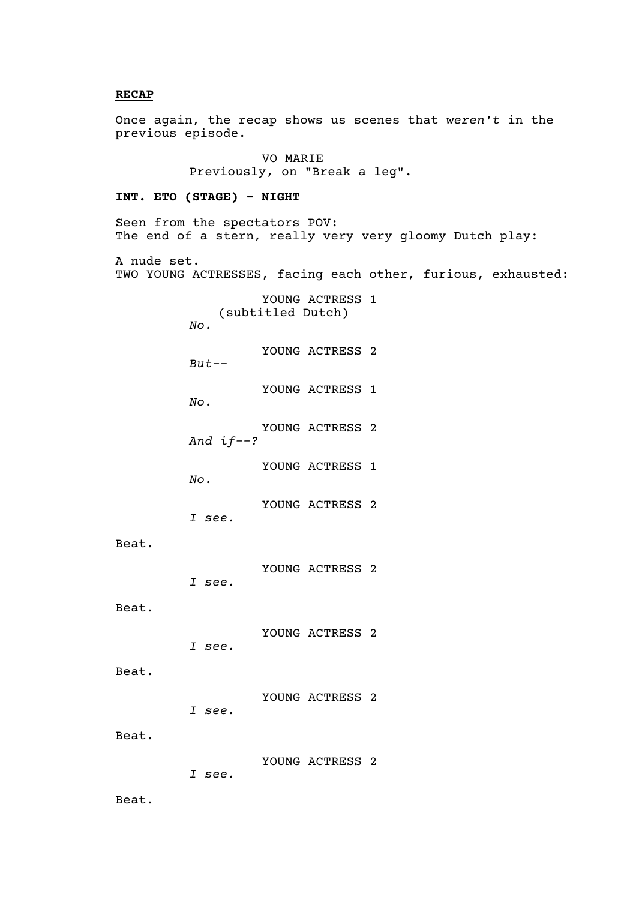#### **RECAP**

Once again, the recap shows us scenes that *weren't* in the previous episode.

> VO MARIE Previously, on "Break a leg".

#### **INT. ETO (STAGE) - NIGHT**

Seen from the spectators POV: The end of a stern, really very very gloomy Dutch play: A nude set. TWO YOUNG ACTRESSES, facing each other, furious, exhausted: YOUNG ACTRESS 1 (subtitled Dutch) *No.* YOUNG ACTRESS 2 *But--* YOUNG ACTRESS 1 *No.* YOUNG ACTRESS 2 *And if--?* YOUNG ACTRESS 1 *No.* YOUNG ACTRESS 2 *I see.* Beat. YOUNG ACTRESS 2 *I see.* Beat. YOUNG ACTRESS 2 *I see.* Beat. YOUNG ACTRESS 2 *I see.*

Beat.

YOUNG ACTRESS 2 *I see.*

Beat.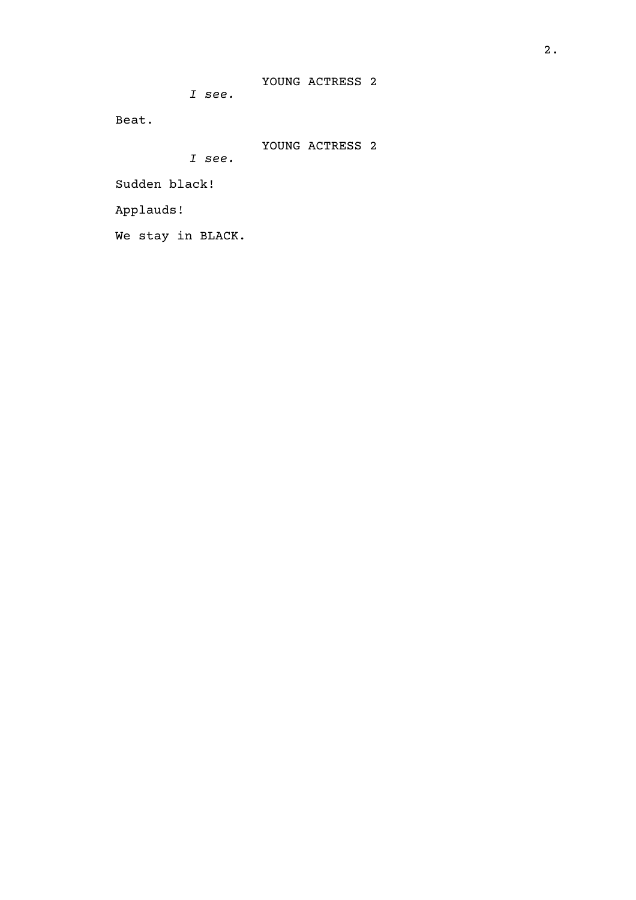*I see.*

Beat.

YOUNG ACTRESS 2

*I see.*

Sudden black!

Applauds!

We stay in BLACK.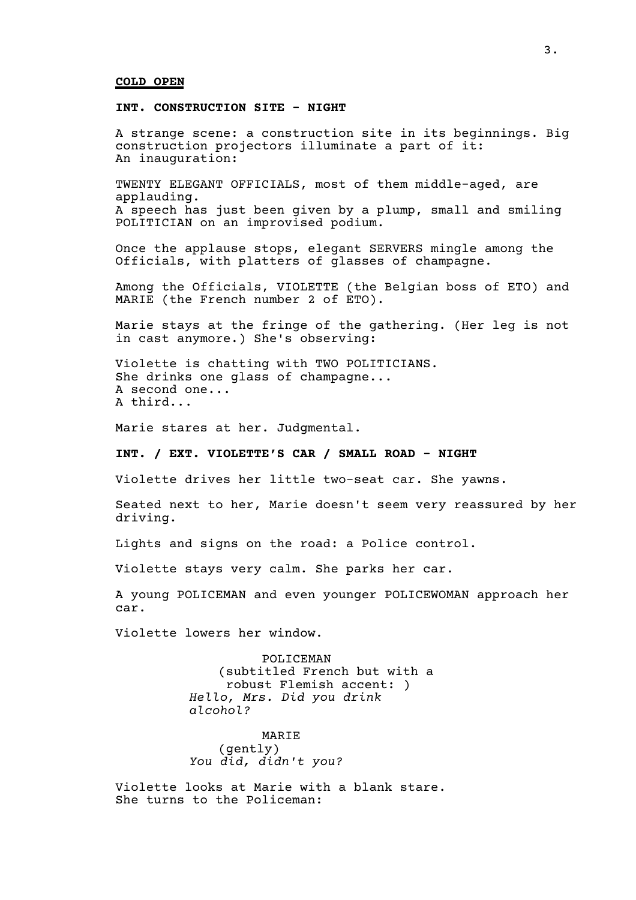#### **COLD OPEN**

#### **INT. CONSTRUCTION SITE - NIGHT**

A strange scene: a construction site in its beginnings. Big construction projectors illuminate a part of it: An inauguration:

TWENTY ELEGANT OFFICIALS, most of them middle-aged, are applauding. A speech has just been given by a plump, small and smiling POLITICIAN on an improvised podium.

Once the applause stops, elegant SERVERS mingle among the Officials, with platters of glasses of champagne.

Among the Officials, VIOLETTE (the Belgian boss of ETO) and MARIE (the French number 2 of ETO).

Marie stays at the fringe of the gathering. (Her leg is not in cast anymore.) She's observing:

Violette is chatting with TWO POLITICIANS. She drinks one glass of champagne... A second one... A third...

Marie stares at her. Judgmental.

#### **INT. / EXT. VIOLETTE'S CAR / SMALL ROAD - NIGHT**

Violette drives her little two-seat car. She yawns.

Seated next to her, Marie doesn't seem very reassured by her driving.

Lights and signs on the road: a Police control.

Violette stays very calm. She parks her car.

A young POLICEMAN and even younger POLICEWOMAN approach her car.

Violette lowers her window.

POLICEMAN (subtitled French but with a robust Flemish accent: ) *Hello, Mrs. Did you drink alcohol?*

MARIE (gently) *You did, didn't you?*

Violette looks at Marie with a blank stare. She turns to the Policeman: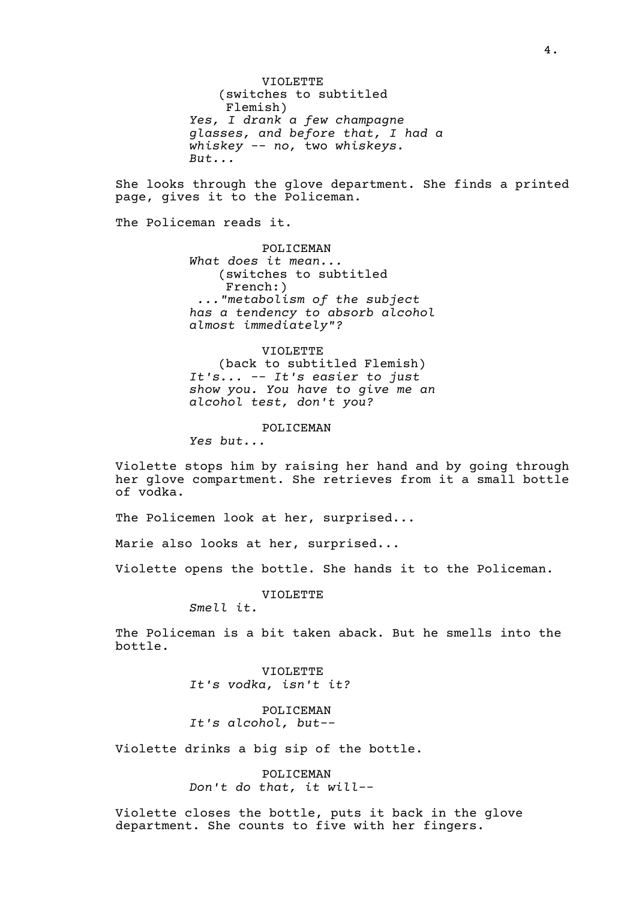VIOLETTE (switches to subtitled Flemish) *Yes, I drank a few champagne glasses, and before that, I had a whiskey -- no,* two *whiskeys. But...*

She looks through the glove department. She finds a printed page, gives it to the Policeman.

The Policeman reads it.

POLICEMAN *What does it mean...* (switches to subtitled French:) *..."metabolism of the subject has a tendency to absorb alcohol almost immediately"?*

VIOLETTE (back to subtitled Flemish) *It's... -- It's easier to just show you. You have to give me an alcohol test, don't you?*

POLICEMAN

*Yes but...*

Violette stops him by raising her hand and by going through her glove compartment. She retrieves from it a small bottle of vodka.

The Policemen look at her, surprised...

Marie also looks at her, surprised...

Violette opens the bottle. She hands it to the Policeman.

VIOLETTE

*Smell it.*

The Policeman is a bit taken aback. But he smells into the bottle.

> VIOLETTE *It's vodka, isn't it?*

POLICEMAN *It's alcohol, but--*

Violette drinks a big sip of the bottle.

POLICEMAN *Don't do that, it will--*

Violette closes the bottle, puts it back in the glove department. She counts to five with her fingers.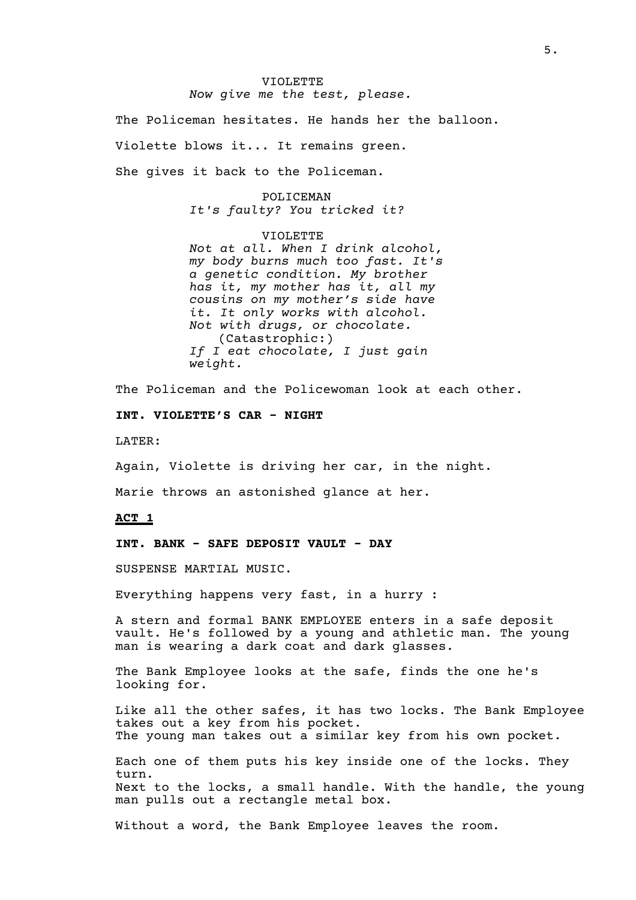#### VIOLETTE *Now give me the test, please.*

The Policeman hesitates. He hands her the balloon.

Violette blows it... It remains green.

She gives it back to the Policeman.

## POLICEMAN *It's faulty? You tricked it?*

VIOLETTE

*Not at all. When I drink alcohol, my body burns much too fast. It's a genetic condition. My brother has it, my mother has it, all my cousins on my mother's side have it. It only works with alcohol. Not with drugs, or chocolate.* (Catastrophic:) *If I eat chocolate, I just gain weight.*

The Policeman and the Policewoman look at each other.

**INT. VIOLETTE'S CAR - NIGHT**

LATER:

Again, Violette is driving her car, in the night.

Marie throws an astonished glance at her.

**ACT 1**

**INT. BANK - SAFE DEPOSIT VAULT - DAY**

SUSPENSE MARTIAL MUSIC.

Everything happens very fast, in a hurry :

A stern and formal BANK EMPLOYEE enters in a safe deposit vault. He's followed by a young and athletic man. The young man is wearing a dark coat and dark glasses.

The Bank Employee looks at the safe, finds the one he's looking for.

Like all the other safes, it has two locks. The Bank Employee takes out a key from his pocket. The young man takes out a similar key from his own pocket.

Each one of them puts his key inside one of the locks. They turn. Next to the locks, a small handle. With the handle, the young man pulls out a rectangle metal box.

Without a word, the Bank Employee leaves the room.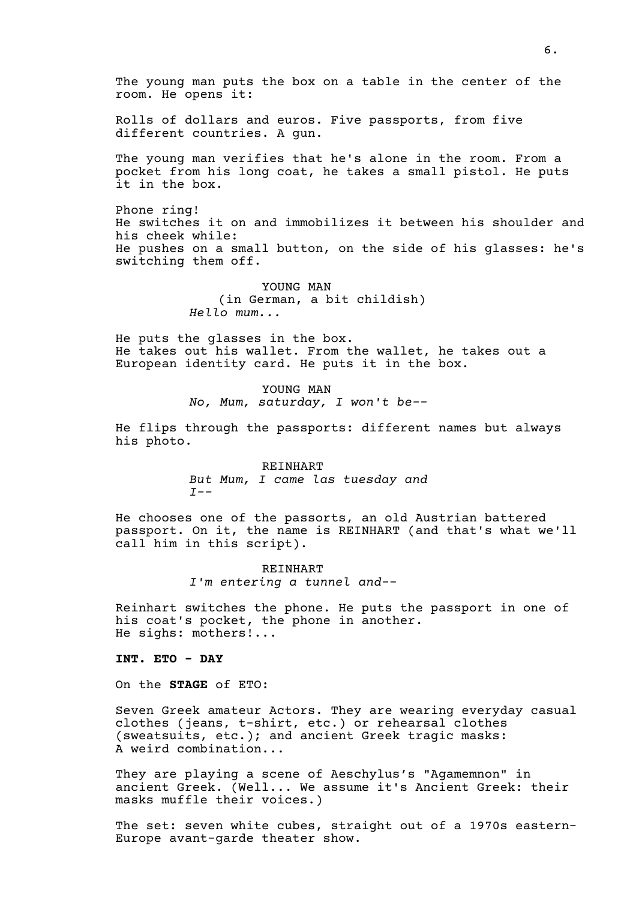The young man puts the box on a table in the center of the room. He opens it:

Rolls of dollars and euros. Five passports, from five different countries. A gun.

The young man verifies that he's alone in the room. From a pocket from his long coat, he takes a small pistol. He puts it in the box.

Phone ring! He switches it on and immobilizes it between his shoulder and his cheek while: He pushes on a small button, on the side of his glasses: he's switching them off.

> YOUNG MAN (in German, a bit childish) *Hello mum...*

He puts the glasses in the box. He takes out his wallet. From the wallet, he takes out a European identity card. He puts it in the box.

> YOUNG MAN *No, Mum, saturday, I won't be--*

He flips through the passports: different names but always his photo.

> REINHART *But Mum, I came las tuesday and I--*

He chooses one of the passorts, an old Austrian battered passport. On it, the name is REINHART (and that's what we'll call him in this script).

> REINHART *I'm entering a tunnel and--*

Reinhart switches the phone. He puts the passport in one of his coat's pocket, the phone in another. He sighs: mothers!...

**INT. ETO - DAY**

On the **STAGE** of ETO:

Seven Greek amateur Actors. They are wearing everyday casual clothes (jeans, t-shirt, etc.) or rehearsal clothes (sweatsuits, etc.); and ancient Greek tragic masks: A weird combination...

They are playing a scene of Aeschylus's "Agamemnon" in ancient Greek. (Well... We assume it's Ancient Greek: their masks muffle their voices.)

The set: seven white cubes, straight out of a 1970s eastern-Europe avant-garde theater show.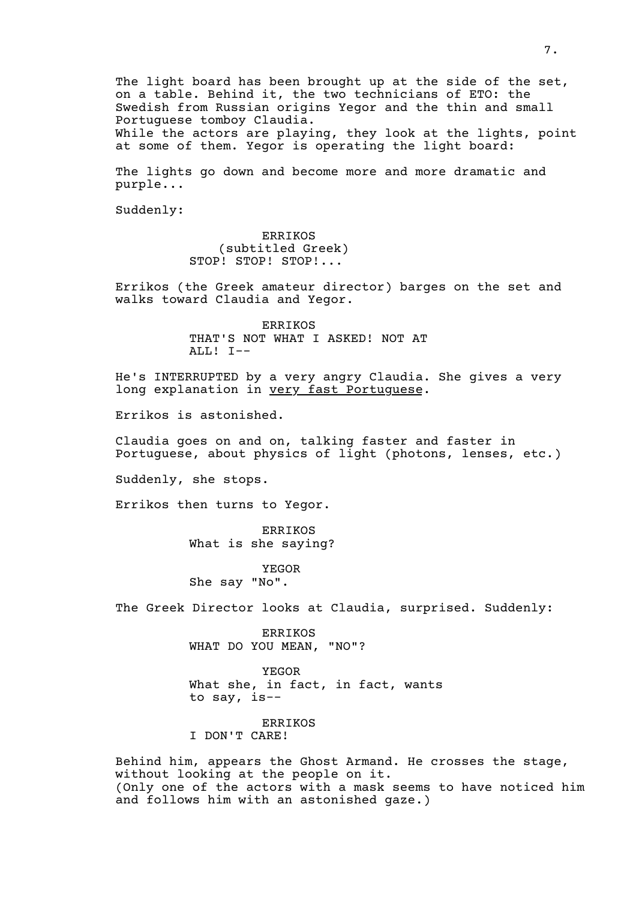The light board has been brought up at the side of the set, on a table. Behind it, the two technicians of ETO: the Swedish from Russian origins Yegor and the thin and small Portuguese tomboy Claudia. While the actors are playing, they look at the lights, point at some of them. Yegor is operating the light board:

The lights go down and become more and more dramatic and purple...

Suddenly:

ERRIKOS (subtitled Greek) STOP! STOP! STOP!...

Errikos (the Greek amateur director) barges on the set and walks toward Claudia and Yegor.

> ERRIKOS THAT'S NOT WHAT I ASKED! NOT AT ALL! I--

He's INTERRUPTED by a very angry Claudia. She gives a very long explanation in very fast Portuguese.

Errikos is astonished.

Claudia goes on and on, talking faster and faster in Portuguese, about physics of light (photons, lenses, etc.)

Suddenly, she stops.

Errikos then turns to Yegor.

ERRIKOS What is she saying?

YEGOR She say "No".

The Greek Director looks at Claudia, surprised. Suddenly:

ERRIKOS WHAT DO YOU MEAN, "NO"?

YEGOR What she, in fact, in fact, wants to say, is--

ERRIKOS I DON'T CARE!

Behind him, appears the Ghost Armand. He crosses the stage, without looking at the people on it. (Only one of the actors with a mask seems to have noticed him and follows him with an astonished gaze.)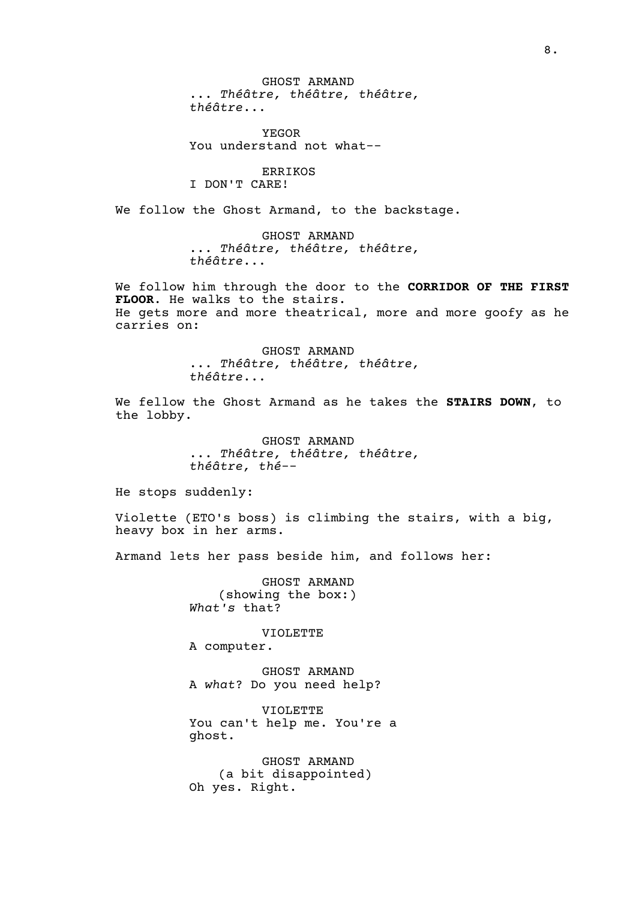GHOST ARMAND ... *Théâtre, théâtre, théâtre, théâtre*...

YEGOR You understand not what--

ERRIKOS I DON'T CARE!

We follow the Ghost Armand, to the backstage.

GHOST ARMAND ... *Théâtre, théâtre, théâtre, théâtre*...

We follow him through the door to the **CORRIDOR OF THE FIRST FLOOR**. He walks to the stairs. He gets more and more theatrical, more and more goofy as he carries on:

> GHOST ARMAND ... *Théâtre, théâtre, théâtre, théâtre*...

We fellow the Ghost Armand as he takes the **STAIRS DOWN**, to the lobby.

> GHOST ARMAND ... *Théâtre, théâtre, théâtre, théâtre, thé*--

He stops suddenly:

Violette (ETO's boss) is climbing the stairs, with a big, heavy box in her arms.

Armand lets her pass beside him, and follows her:

GHOST ARMAND (showing the box:) *What's* that?

VIOLETTE

A computer.

GHOST ARMAND A *what*? Do you need help?

VIOLETTE You can't help me. You're a ghost.

GHOST ARMAND (a bit disappointed) Oh yes. Right.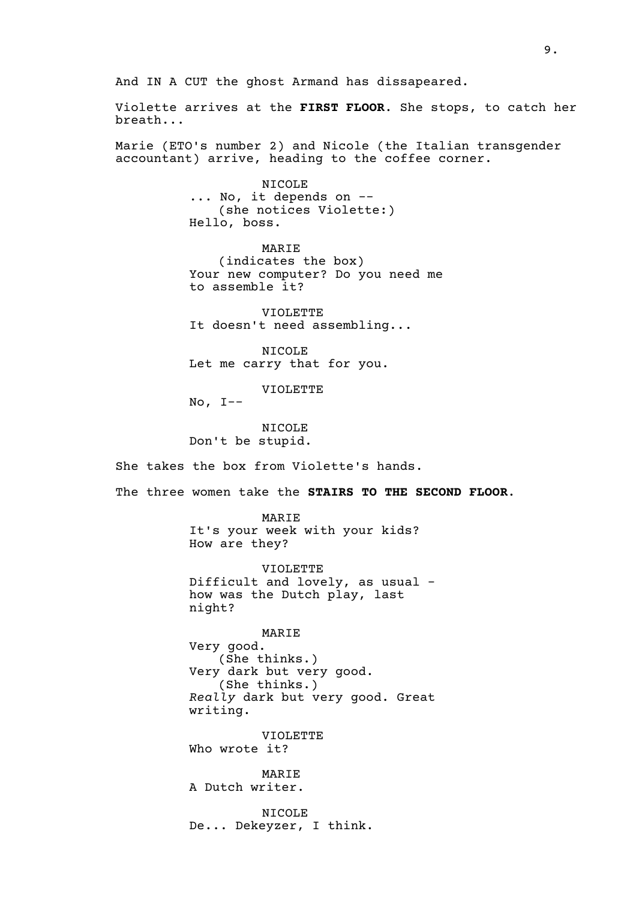And IN A CUT the ghost Armand has dissapeared.

Violette arrives at the **FIRST FLOOR**. She stops, to catch her breath...

Marie (ETO's number 2) and Nicole (the Italian transgender accountant) arrive, heading to the coffee corner.

> NICOLE ... No, it depends on -- (she notices Violette:) Hello, boss.

MARIE (indicates the box) Your new computer? Do you need me to assemble it?

VIOLETTE It doesn't need assembling...

NICOLE Let me carry that for you.

VIOLETTE

 $No, I--$ 

NICOLE Don't be stupid.

She takes the box from Violette's hands.

The three women take the **STAIRS TO THE SECOND FLOOR**.

MARIE It's your week with your kids? How are they?

VIOLETTE Difficult and lovely, as usual how was the Dutch play, last night?

MARIE Very good. (She thinks.) Very dark but very good. (She thinks.) *Really* dark but very good. Great writing.

VIOLETTE Who wrote it?

MARIE A Dutch writer.

NICOLE De... Dekeyzer, I think.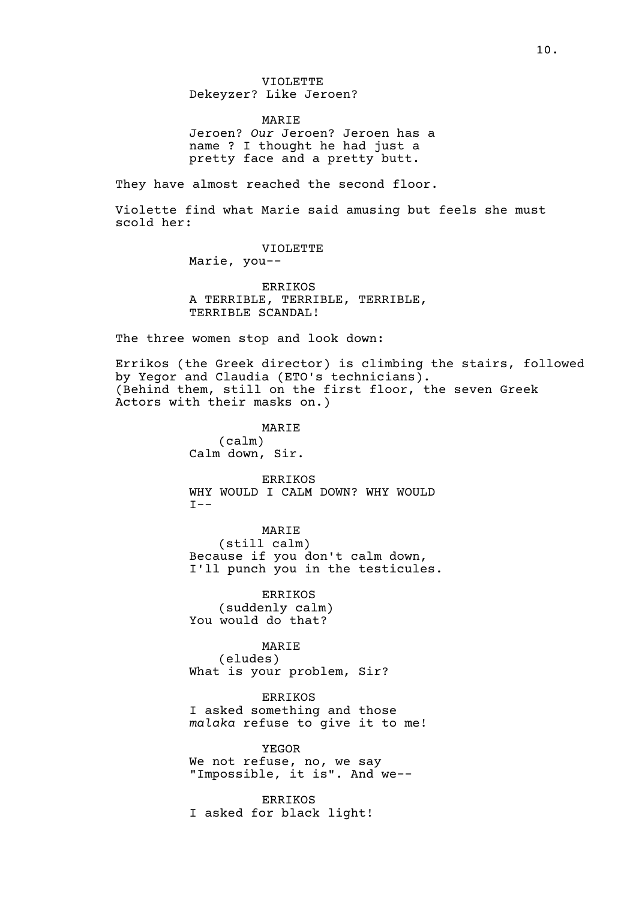VIOLETTE Dekeyzer? Like Jeroen?

MARIE Jeroen? *Our* Jeroen? Jeroen has a name ? I thought he had just a pretty face and a pretty butt.

They have almost reached the second floor.

Violette find what Marie said amusing but feels she must scold her:

VIOLETTE

Marie, you--

ERRIKOS A TERRIBLE, TERRIBLE, TERRIBLE, TERRIBLE SCANDAL!

The three women stop and look down:

Errikos (the Greek director) is climbing the stairs, followed by Yegor and Claudia (ETO's technicians). (Behind them, still on the first floor, the seven Greek Actors with their masks on.)

> MARIE (calm) Calm down, Sir.

ERRIKOS WHY WOULD I CALM DOWN? WHY WOULD  $I --$ 

MARIE (still calm) Because if you don't calm down, I'll punch you in the testicules.

ERRIKOS (suddenly calm) You would do that?

MARIE (eludes) What is your problem, Sir?

ERRIKOS I asked something and those *malaka* refuse to give it to me!

YEGOR We not refuse, no, we say "Impossible, it is". And we--

ERRIKOS I asked for black light!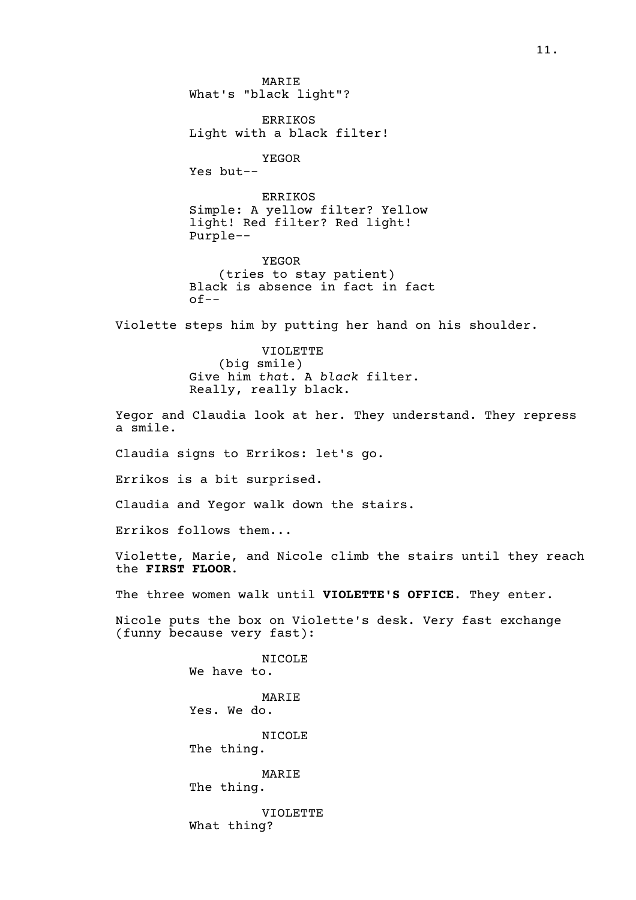MARIE What's "black light"?

ERRIKOS Light with a black filter!

YEGOR

Yes but--

ERRIKOS Simple: A yellow filter? Yellow light! Red filter? Red light! Purple--

YEGOR (tries to stay patient) Black is absence in fact in fact  $of--$ 

Violette steps him by putting her hand on his shoulder.

VIOLETTE (big smile) Give him *that*. A *black* filter. Really, really black.

Yegor and Claudia look at her. They understand. They repress a smile.

Claudia signs to Errikos: let's go.

Errikos is a bit surprised.

Claudia and Yegor walk down the stairs.

Errikos follows them...

Violette, Marie, and Nicole climb the stairs until they reach the **FIRST FLOOR**.

The three women walk until **VIOLETTE'S OFFICE**. They enter.

Nicole puts the box on Violette's desk. Very fast exchange (funny because very fast):

> NICOLE We have to. MARIE Yes. We do. NICOLE The thing. MARIE The thing. VIOLETTE What thing?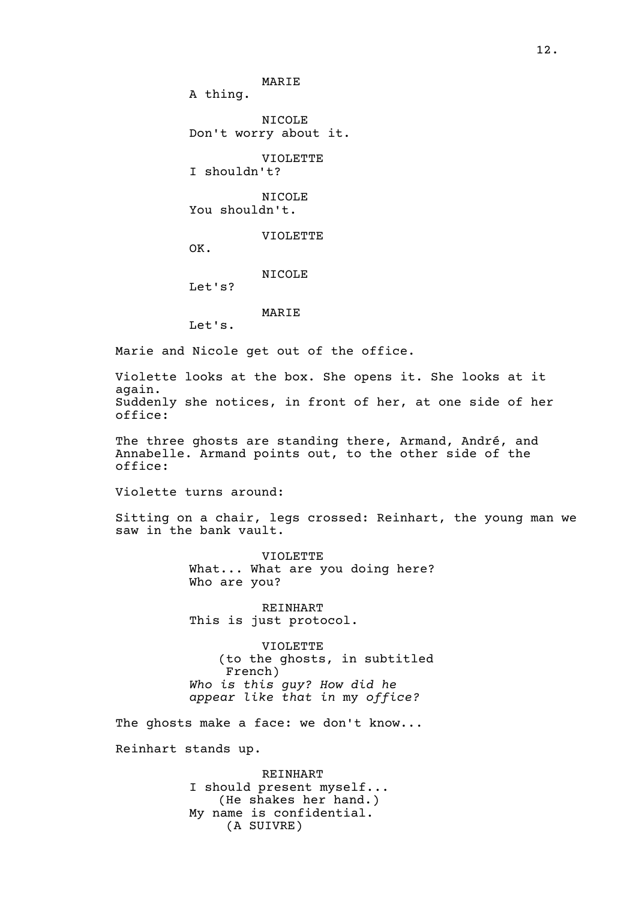MARIE A thing. NICOLE Don't worry about it. VIOLETTE I shouldn't? NICOLE You shouldn't. VIOLETTE OK. NICOLE Let's? MARIE Let's.

Marie and Nicole get out of the office.

Violette looks at the box. She opens it. She looks at it again. Suddenly she notices, in front of her, at one side of her office:

The three ghosts are standing there, Armand, André, and Annabelle. Armand points out, to the other side of the office:

Violette turns around:

Sitting on a chair, legs crossed: Reinhart, the young man we saw in the bank vault.

> VIOLETTE What... What are you doing here? Who are you?

REINHART This is just protocol.

VIOLETTE (to the ghosts, in subtitled French) *Who is this guy? How did he appear like that in* my *office?*

The ghosts make a face: we don't know...

Reinhart stands up.

REINHART I should present myself... (He shakes her hand.) My name is confidential. (A SUIVRE)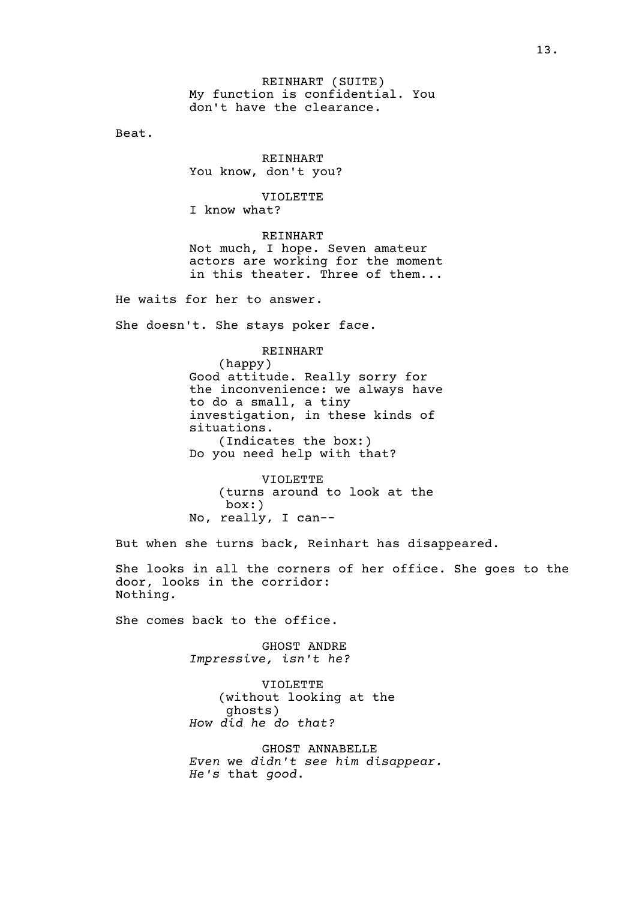REINHART (SUITE) My function is confidential. You don't have the clearance.

Beat.

REINHART You know, don't you?

VIOLETTE

I know what?

REINHART Not much, I hope. Seven amateur actors are working for the moment in this theater. Three of them...

He waits for her to answer.

She doesn't. She stays poker face.

REINHART

(happy) Good attitude. Really sorry for the inconvenience: we always have to do a small, a tiny investigation, in these kinds of situations. (Indicates the box:) Do you need help with that?

VIOLETTE (turns around to look at the box:) No, really, I can--

But when she turns back, Reinhart has disappeared.

She looks in all the corners of her office. She goes to the door, looks in the corridor: Nothing.

She comes back to the office.

GHOST ANDRE *Impressive, isn't he?*

VIOLETTE (without looking at the ghosts) *How did he do that?*

GHOST ANNABELLE *Even* we *didn't see him disappear. He's* that *good*.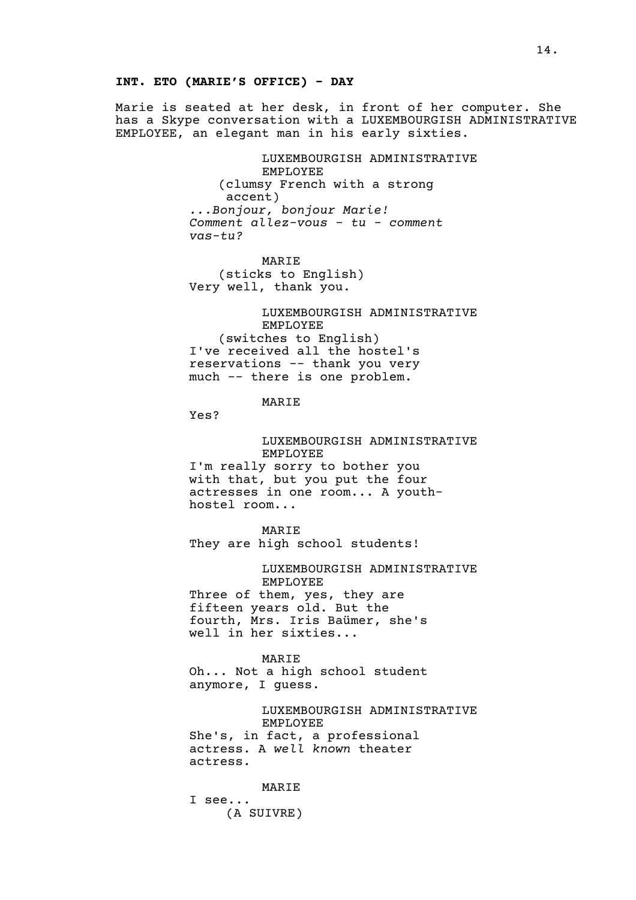#### **INT. ETO (MARIE'S OFFICE) - DAY**

Marie is seated at her desk, in front of her computer. She has a Skype conversation with a LUXEMBOURGISH ADMINISTRATIVE EMPLOYEE, an elegant man in his early sixties.

> LUXEMBOURGISH ADMINISTRATIVE EMPLOYEE (clumsy French with a strong accent) *...Bonjour, bonjour Marie! Comment allez-vous - tu - comment vas-tu?*

MARIE (sticks to English) Very well, thank you.

LUXEMBOURGISH ADMINISTRATIVE EMPLOYEE (switches to English) I've received all the hostel's reservations -- thank you very much -- there is one problem.

## MARIE

Yes?

LUXEMBOURGISH ADMINISTRATIVE EMPLOYEE

I'm really sorry to bother you with that, but you put the four actresses in one room... A youthhostel room...

MARIE They are high school students!

#### LUXEMBOURGISH ADMINISTRATIVE EMPLOYEE

Three of them, yes, they are fifteen years old. But the fourth, Mrs. Iris Baümer, she's well in her sixties...

MARIE Oh... Not a high school student anymore, I guess.

> LUXEMBOURGISH ADMINISTRATIVE EMPLOYEE

She's, in fact, a professional actress. A *well known* theater actress.

MARIE I see... (A SUIVRE)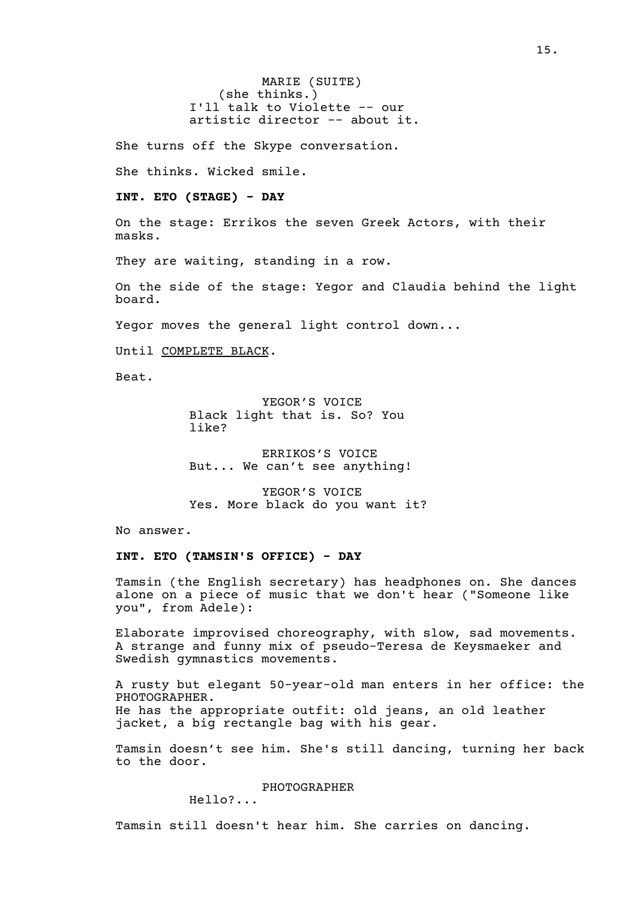MARIE (SUITE) (she thinks.) I'll talk to Violette -- our artistic director -- about it.

She turns off the Skype conversation.

She thinks. Wicked smile.

**INT. ETO (STAGE) - DAY** 

On the stage: Errikos the seven Greek Actors, with their masks.

They are waiting, standing in a row.

On the side of the stage: Yegor and Claudia behind the light board.

Yegor moves the general light control down...

Until COMPLETE BLACK.

Beat.

YEGOR'S VOICE Black light that is. So? You like?

ERRIKOS'S VOICE But... We can't see anything!

YEGOR'S VOICE Yes. More black do you want it?

No answer.

**INT. ETO (TAMSIN'S OFFICE) - DAY** 

Tamsin (the English secretary) has headphones on. She dances alone on a piece of music that we don't hear ("Someone like you", from Adele):

Elaborate improvised choreography, with slow, sad movements. A strange and funny mix of pseudo-Teresa de Keysmaeker and Swedish gymnastics movements.

A rusty but elegant 50-year-old man enters in her office: the PHOTOGRAPHER. He has the appropriate outfit: old jeans, an old leather jacket, a big rectangle bag with his gear.

Tamsin doesn't see him. She's still dancing, turning her back to the door.

PHOTOGRAPHER

Hello?...

Tamsin still doesn't hear him. She carries on dancing.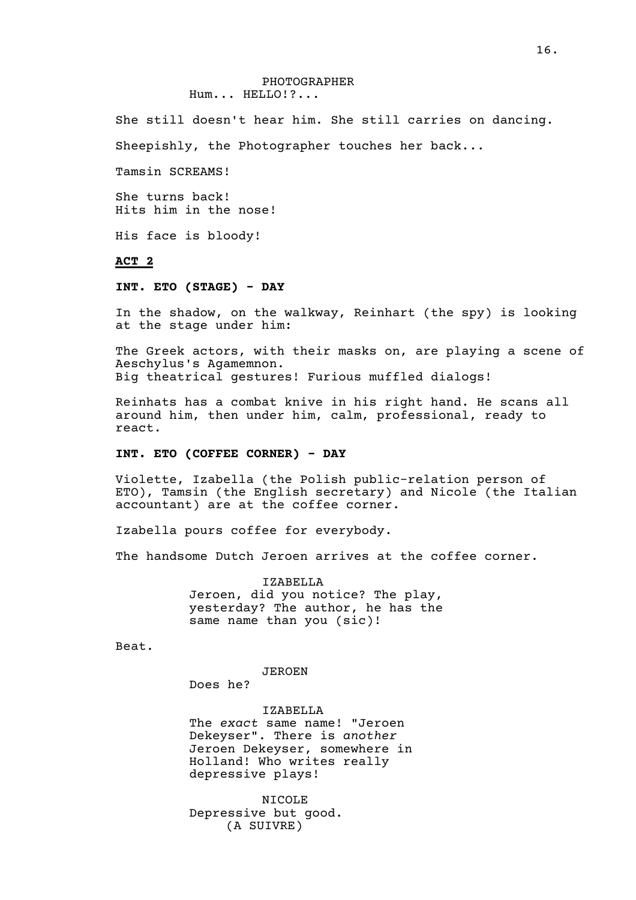She still doesn't hear him. She still carries on dancing.

Sheepishly, the Photographer touches her back...

Tamsin SCREAMS!

She turns back! Hits him in the nose!

His face is bloody!

## **ACT 2**

#### **INT. ETO (STAGE) - DAY**

In the shadow, on the walkway, Reinhart (the spy) is looking at the stage under him:

The Greek actors, with their masks on, are playing a scene of Aeschylus's Agamemnon. Big theatrical gestures! Furious muffled dialogs!

Reinhats has a combat knive in his right hand. He scans all around him, then under him, calm, professional, ready to react.

## **INT. ETO (COFFEE CORNER) - DAY**

Violette, Izabella (the Polish public-relation person of ETO), Tamsin (the English secretary) and Nicole (the Italian accountant) are at the coffee corner.

Izabella pours coffee for everybody.

The handsome Dutch Jeroen arrives at the coffee corner.

IZABELLA Jeroen, did you notice? The play, yesterday? The author, he has the same name than you (sic)!

Beat.

JEROEN

Does he?

IZABELLA The *exact* same name! "Jeroen Dekeyser". There is *another* Jeroen Dekeyser, somewhere in Holland! Who writes really depressive plays!

NICOLE Depressive but good. (A SUIVRE)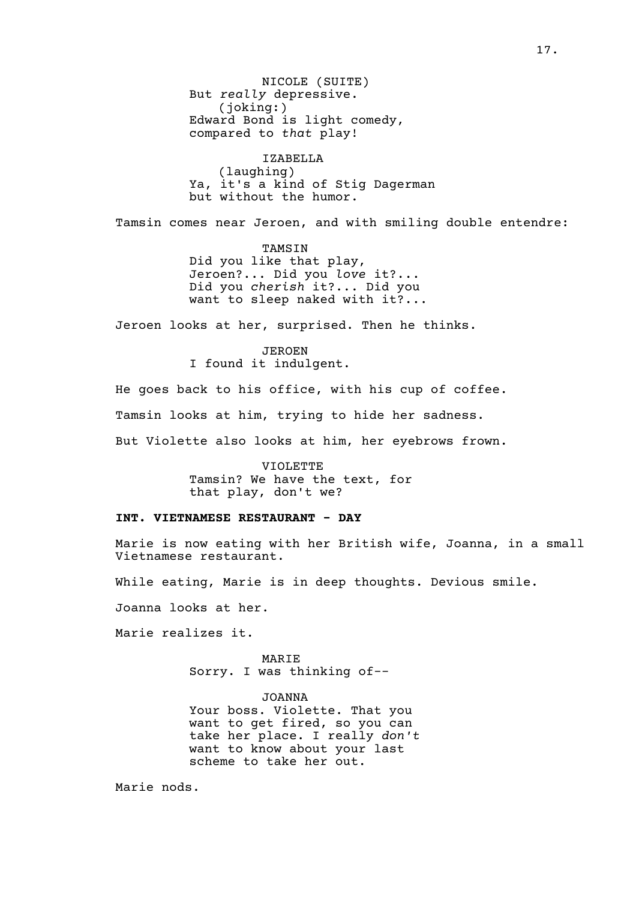NICOLE (SUITE) But *really* depressive. (joking:) Edward Bond is light comedy, compared to *that* play!

IZABELLA (laughing) Ya, it's a kind of Stig Dagerman but without the humor.

Tamsin comes near Jeroen, and with smiling double entendre:

TAMSIN Did you like that play, Jeroen?... Did you *love* it?... Did you *cherish* it?... Did you want to sleep naked with it?...

Jeroen looks at her, surprised. Then he thinks.

JEROEN I found it indulgent.

He goes back to his office, with his cup of coffee.

Tamsin looks at him, trying to hide her sadness.

But Violette also looks at him, her eyebrows frown.

VIOLETTE Tamsin? We have the text, for that play, don't we?

#### **INT. VIETNAMESE RESTAURANT - DAY**

Marie is now eating with her British wife, Joanna, in a small Vietnamese restaurant.

While eating, Marie is in deep thoughts. Devious smile.

Joanna looks at her.

Marie realizes it.

MARIE Sorry. I was thinking of--

JOANNA Your boss. Violette. That you want to get fired, so you can take her place. I really *don't* want to know about your last scheme to take her out.

Marie nods.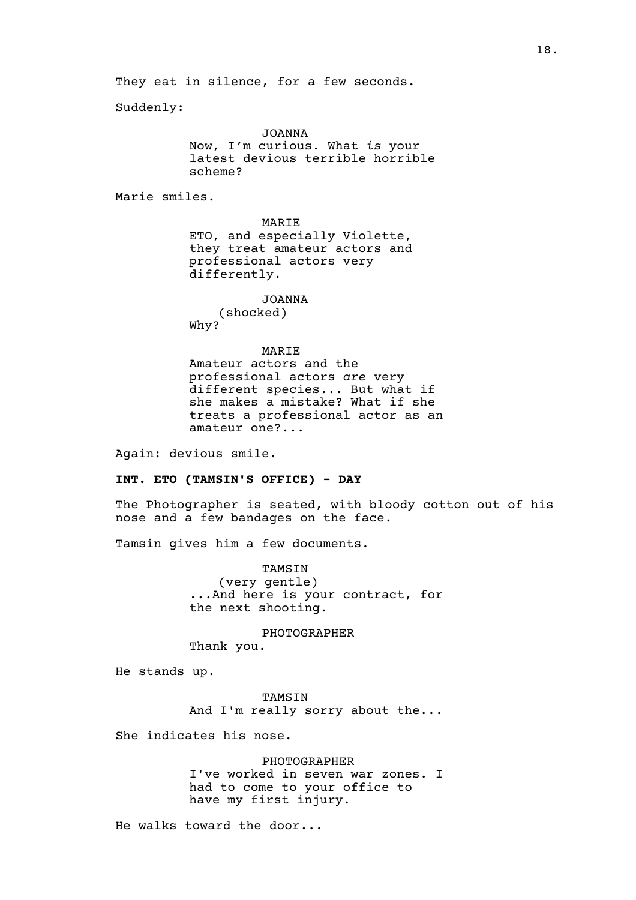They eat in silence, for a few seconds.

Suddenly:

JOANNA Now, I'm curious. What *is* your latest devious terrible horrible scheme?

Marie smiles.

MARIE ETO, and especially Violette, they treat amateur actors and professional actors very differently.

JOANNA (shocked) Why?

#### MARIE

Amateur actors and the professional actors *are* very different species... But what if she makes a mistake? What if she treats a professional actor as an amateur one?...

Again: devious smile.

#### **INT. ETO (TAMSIN'S OFFICE) - DAY**

The Photographer is seated, with bloody cotton out of his nose and a few bandages on the face.

Tamsin gives him a few documents.

TAMSIN (very gentle) ...And here is your contract, for the next shooting.

PHOTOGRAPHER Thank you.

He stands up.

TAMSIN And I'm really sorry about the...

She indicates his nose.

PHOTOGRAPHER I've worked in seven war zones. I had to come to your office to have my first injury.

He walks toward the door...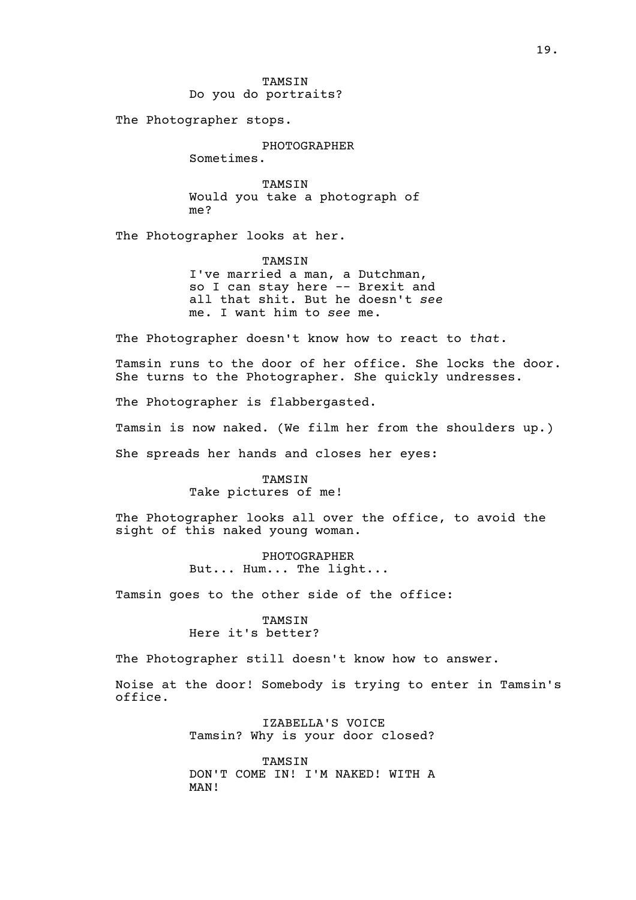TAMSIN Do you do portraits?

The Photographer stops.

PHOTOGRAPHER

Sometimes.

TAMSIN Would you take a photograph of me?

The Photographer looks at her.

TAMSIN I've married a man, a Dutchman, so I can stay here -- Brexit and all that shit. But he doesn't *see*

me. I want him to *see* me.

The Photographer doesn't know how to react to *that*.

Tamsin runs to the door of her office. She locks the door. She turns to the Photographer. She quickly undresses.

The Photographer is flabbergasted.

Tamsin is now naked. (We film her from the shoulders up.)

She spreads her hands and closes her eyes:

#### TAMSIN

Take pictures of me!

The Photographer looks all over the office, to avoid the sight of this naked young woman.

> PHOTOGRAPHER But... Hum... The light...

Tamsin goes to the other side of the office:

#### TAMSIN Here it's better?

The Photographer still doesn't know how to answer.

Noise at the door! Somebody is trying to enter in Tamsin's office.

> IZABELLA'S VOICE Tamsin? Why is your door closed?

> TAMSIN DON'T COME IN! I'M NAKED! WITH A MAN!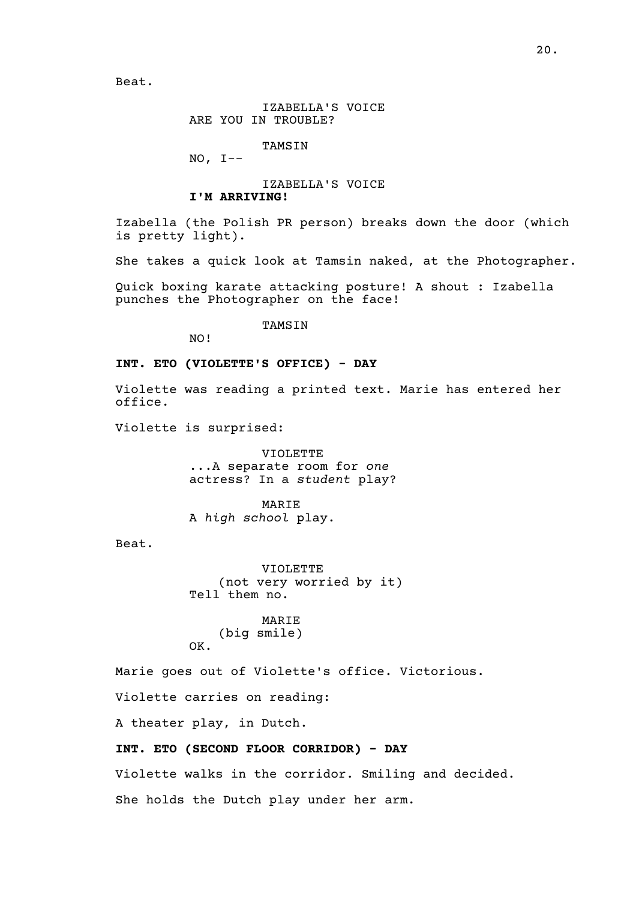IZABELLA'S VOICE ARE YOU IN TROUBLE?

TAMSIN

NO, I--

IZABELLA'S VOICE

## **I'M ARRIVING!**

Izabella (the Polish PR person) breaks down the door (which is pretty light).

She takes a quick look at Tamsin naked, at the Photographer.

Quick boxing karate attacking posture! A shout : Izabella punches the Photographer on the face!

**TAMSIN** 

NO!

#### **INT. ETO (VIOLETTE'S OFFICE) - DAY**

Violette was reading a printed text. Marie has entered her office.

Violette is surprised:

VIOLETTE ...A separate room for *one* actress? In a *student* play?

MARIE A *high school* play.

Beat.

VIOLETTE (not very worried by it) Tell them no.

MARIE (big smile) OK.

Marie goes out of Violette's office. Victorious.

Violette carries on reading:

A theater play, in Dutch.

#### **INT. ETO (SECOND FLOOR CORRIDOR) - DAY**

Violette walks in the corridor. Smiling and decided.

She holds the Dutch play under her arm.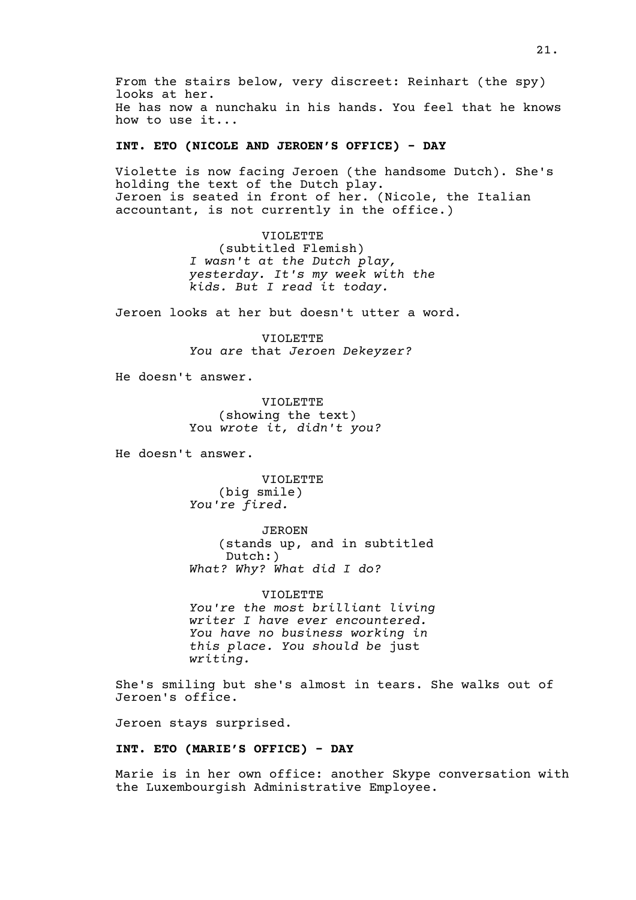From the stairs below, very discreet: Reinhart (the spy) looks at her. He has now a nunchaku in his hands. You feel that he knows how to use it...

## **INT. ETO (NICOLE AND JEROEN'S OFFICE) - DAY**

Violette is now facing Jeroen (the handsome Dutch). She's holding the text of the Dutch play. Jeroen is seated in front of her. (Nicole, the Italian accountant, is not currently in the office.)

> VIOLETTE (subtitled Flemish) *I wasn't at the Dutch play, yesterday. It's my week with the kids. But I read it today.*

Jeroen looks at her but doesn't utter a word.

VIOLETTE *You are* that *Jeroen Dekeyzer?*

He doesn't answer.

VIOLETTE (showing the text) You *wrote it, didn't you?*

He doesn't answer.

VIOLETTE (big smile) *You're fired.*

JEROEN (stands up, and in subtitled Dutch:) *What? Why? What did I do?*

VIOLETTE *You're the most brilliant living writer I have ever encountered. You have no business working in this place. You should be* just *writing.*

She's smiling but she's almost in tears. She walks out of Jeroen's office.

Jeroen stays surprised.

#### **INT. ETO (MARIE'S OFFICE) - DAY**

Marie is in her own office: another Skype conversation with the Luxembourgish Administrative Employee.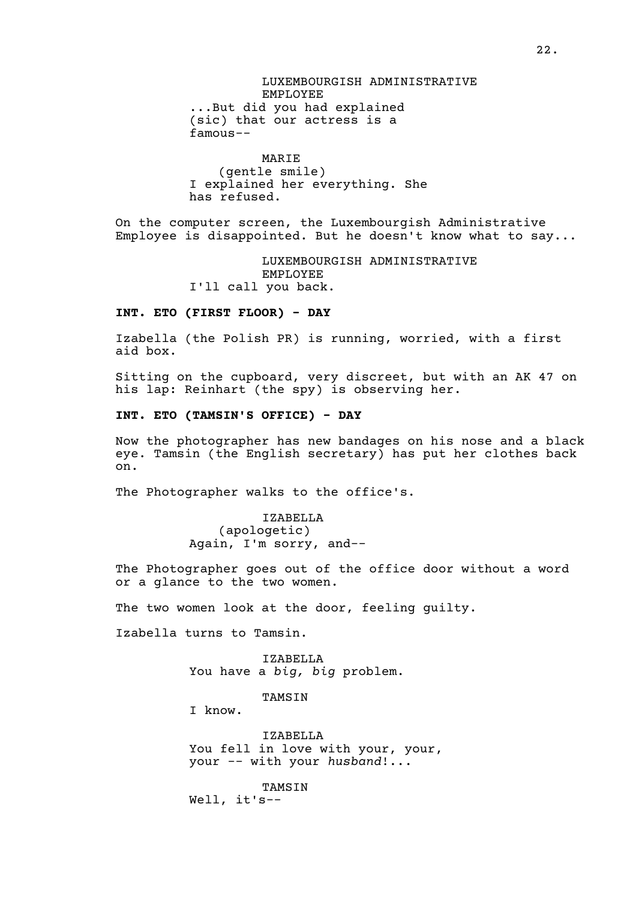LUXEMBOURGISH ADMINISTRATIVE EMPLOYEE ...But did you had explained (sic) that our actress is a famous--

MARIE (gentle smile) I explained her everything. She has refused.

On the computer screen, the Luxembourgish Administrative Employee is disappointed. But he doesn't know what to say...

> LUXEMBOURGISH ADMINISTRATIVE EMPLOYEE I'll call you back.

#### **INT. ETO (FIRST FLOOR) - DAY**

Izabella (the Polish PR) is running, worried, with a first aid box.

Sitting on the cupboard, very discreet, but with an AK 47 on his lap: Reinhart (the spy) is observing her.

**INT. ETO (TAMSIN'S OFFICE) - DAY**

Now the photographer has new bandages on his nose and a black eye. Tamsin (the English secretary) has put her clothes back on.

The Photographer walks to the office's.

IZABELLA (apologetic) Again, I'm sorry, and--

The Photographer goes out of the office door without a word or a glance to the two women.

The two women look at the door, feeling quilty.

Izabella turns to Tamsin.

IZABELLA You have a *big, big* problem.

TAMSIN

I know.

IZABELLA You fell in love with your, your, your -- with your *husband*!...

TAMSIN Well, it's--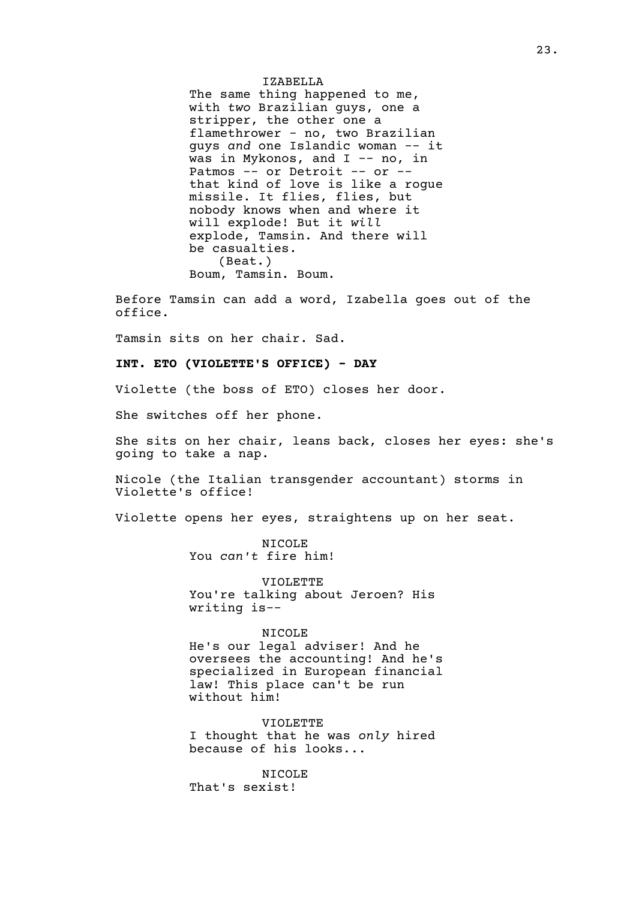IZABELLA The same thing happened to me, with *two* Brazilian guys, one a stripper, the other one a flamethrower - no, two Brazilian guys *and* one Islandic woman -- it was in Mykonos, and I -- no, in Patmos -- or Detroit -- or -that kind of love is like a rogue missile. It flies, flies, but nobody knows when and where it will explode! But it *will* explode, Tamsin. And there will be casualties. (Beat.) Boum, Tamsin. Boum.

Before Tamsin can add a word, Izabella goes out of the office.

Tamsin sits on her chair. Sad.

**INT. ETO (VIOLETTE'S OFFICE) - DAY**

Violette (the boss of ETO) closes her door.

She switches off her phone.

She sits on her chair, leans back, closes her eyes: she's going to take a nap.

Nicole (the Italian transgender accountant) storms in Violette's office!

Violette opens her eyes, straightens up on her seat.

NICOLE You *can't* fire him!

VIOLETTE You're talking about Jeroen? His writing is--

NICOLE

He's our legal adviser! And he oversees the accounting! And he's specialized in European financial law! This place can't be run without him!

VIOLETTE I thought that he was *only* hired because of his looks...

NICOLE That's sexist!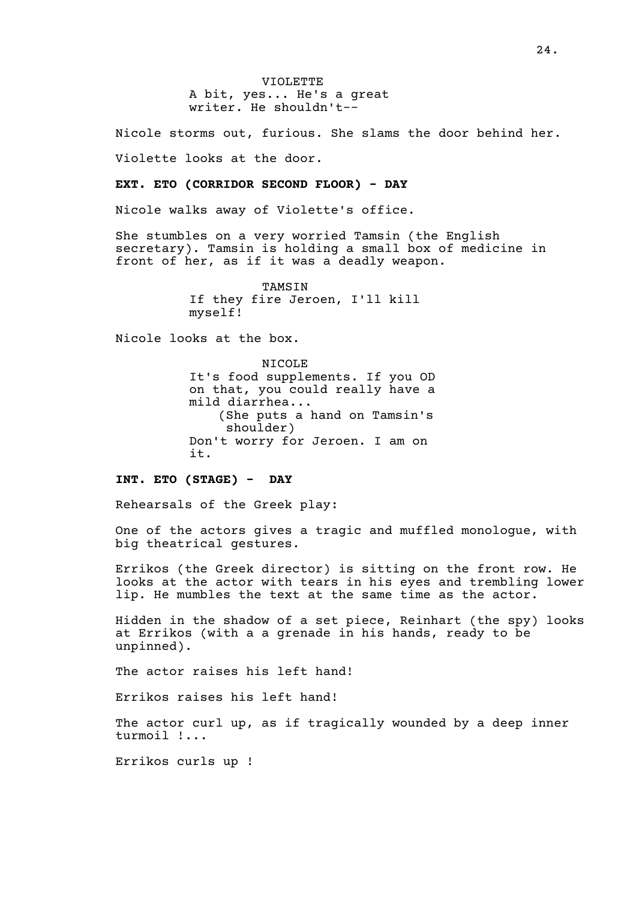VIOLETTE A bit, yes... He's a great writer. He shouldn't--

Nicole storms out, furious. She slams the door behind her.

Violette looks at the door.

#### **EXT. ETO (CORRIDOR SECOND FLOOR) - DAY**

Nicole walks away of Violette's office.

She stumbles on a very worried Tamsin (the English secretary). Tamsin is holding a small box of medicine in front of her, as if it was a deadly weapon.

> TAMSIN If they fire Jeroen, I'll kill myself!

Nicole looks at the box.

NICOLE It's food supplements. If you OD on that, you could really have a mild diarrhea... (She puts a hand on Tamsin's shoulder) Don't worry for Jeroen. I am on it.

#### **INT. ETO (STAGE) - DAY**

Rehearsals of the Greek play:

One of the actors gives a tragic and muffled monologue, with big theatrical gestures.

Errikos (the Greek director) is sitting on the front row. He looks at the actor with tears in his eyes and trembling lower lip. He mumbles the text at the same time as the actor.

Hidden in the shadow of a set piece, Reinhart (the spy) looks at Errikos (with a a grenade in his hands, ready to be unpinned).

The actor raises his left hand!

Errikos raises his left hand!

The actor curl up, as if tragically wounded by a deep inner turmoil !...

Errikos curls up !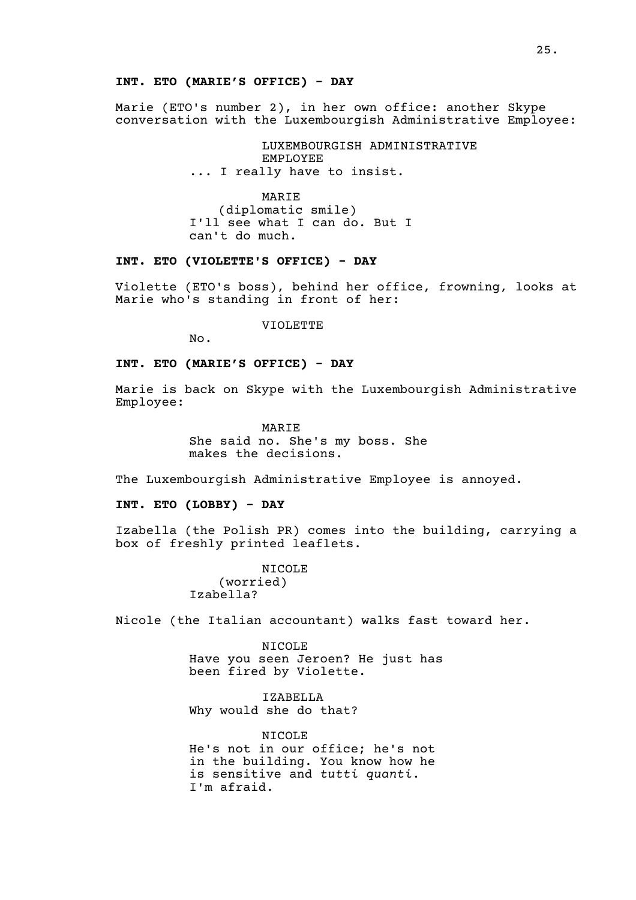#### **INT. ETO (MARIE'S OFFICE) - DAY**

Marie (ETO's number 2), in her own office: another Skype conversation with the Luxembourgish Administrative Employee:

> LUXEMBOURGISH ADMINISTRATIVE EMPLOYEE ... I really have to insist.

MARIE (diplomatic smile) I'll see what I can do. But I can't do much.

#### **INT. ETO (VIOLETTE'S OFFICE) - DAY**

Violette (ETO's boss), behind her office, frowning, looks at Marie who's standing in front of her:

VIOLETTE

No.

## **INT. ETO (MARIE'S OFFICE) - DAY**

Marie is back on Skype with the Luxembourgish Administrative Employee:

> MARIE She said no. She's my boss. She makes the decisions.

The Luxembourgish Administrative Employee is annoyed.

#### **INT. ETO (LOBBY) - DAY**

Izabella (the Polish PR) comes into the building, carrying a box of freshly printed leaflets.

> NICOLE (worried) Izabella?

Nicole (the Italian accountant) walks fast toward her.

NICOLE Have you seen Jeroen? He just has been fired by Violette.

IZABELLA Why would she do that?

NICOLE He's not in our office; he's not in the building. You know how he is sensitive and *tutti quanti*. I'm afraid.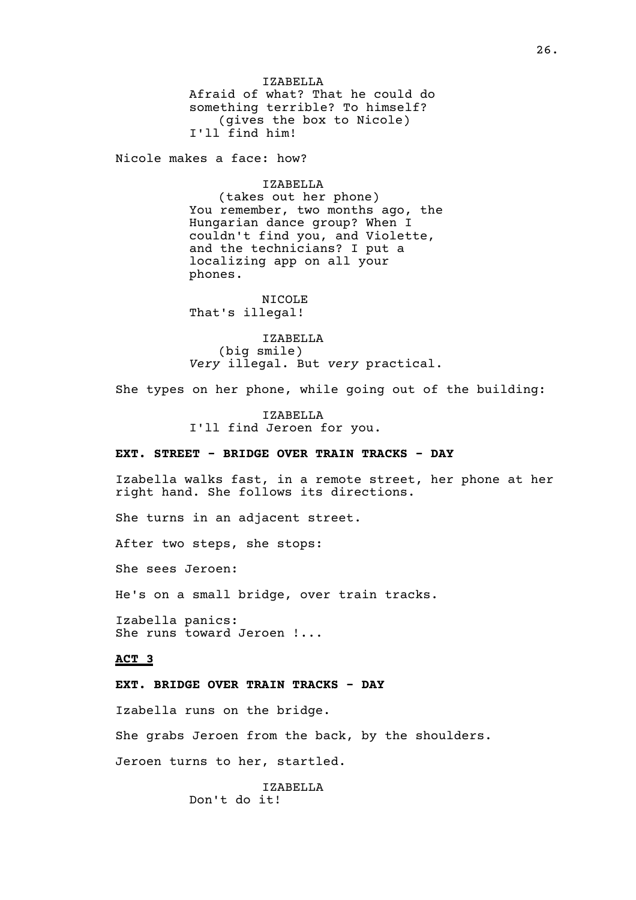IZABELLA Afraid of what? That he could do something terrible? To himself? (gives the box to Nicole) I'll find him!

Nicole makes a face: how?

IZABELLA

(takes out her phone) You remember, two months ago, the Hungarian dance group? When I couldn't find you, and Violette, and the technicians? I put a localizing app on all your phones.

NICOLE That's illegal!

IZABELLA (big smile) *Very* illegal. But *very* practical.

She types on her phone, while going out of the building:

IZABELLA I'll find Jeroen for you.

#### **EXT. STREET - BRIDGE OVER TRAIN TRACKS - DAY**

Izabella walks fast, in a remote street, her phone at her right hand. She follows its directions.

She turns in an adjacent street.

After two steps, she stops:

She sees Jeroen:

He's on a small bridge, over train tracks.

Izabella panics: She runs toward Jeroen !...

#### **ACT 3**

## **EXT. BRIDGE OVER TRAIN TRACKS - DAY**

Izabella runs on the bridge.

She grabs Jeroen from the back, by the shoulders.

Jeroen turns to her, startled.

IZABELLA Don't do it!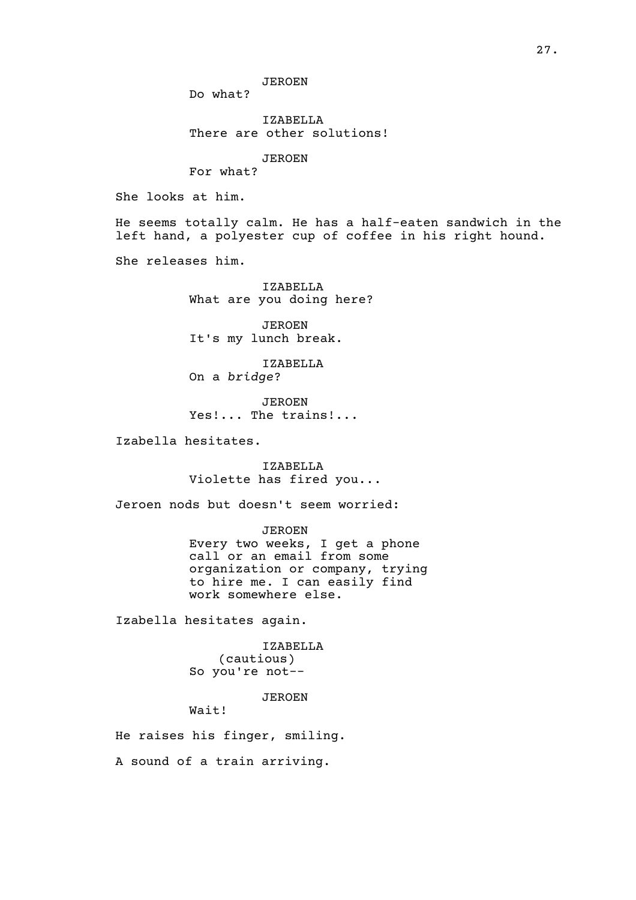JEROEN

Do what?

IZABELLA There are other solutions!

JEROEN

For what?

She looks at him.

He seems totally calm. He has a half-eaten sandwich in the left hand, a polyester cup of coffee in his right hound.

She releases him.

IZABELLA What are you doing here?

JEROEN It's my lunch break.

IZABELLA On a *bridge*?

JEROEN Yes!... The trains!...

Izabella hesitates.

IZABELLA Violette has fired you...

Jeroen nods but doesn't seem worried:

JEROEN Every two weeks, I get a phone call or an email from some organization or company, trying to hire me. I can easily find work somewhere else.

Izabella hesitates again.

IZABELLA (cautious) So you're not--

JEROEN

Wait!

He raises his finger, smiling.

A sound of a train arriving.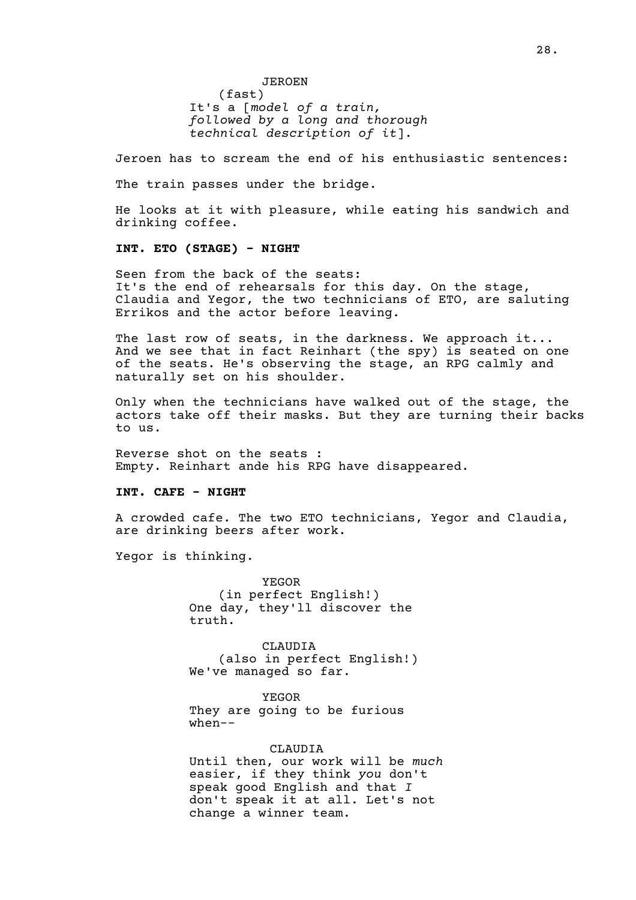JEROEN

(fast) It's a [*model of a train, followed by a long and thorough technical description of it*].

Jeroen has to scream the end of his enthusiastic sentences:

The train passes under the bridge.

He looks at it with pleasure, while eating his sandwich and drinking coffee.

#### **INT. ETO (STAGE) - NIGHT**

Seen from the back of the seats: It's the end of rehearsals for this day. On the stage, Claudia and Yegor, the two technicians of ETO, are saluting Errikos and the actor before leaving.

The last row of seats, in the darkness. We approach it... And we see that in fact Reinhart (the spy) is seated on one of the seats. He's observing the stage, an RPG calmly and naturally set on his shoulder.

Only when the technicians have walked out of the stage, the actors take off their masks. But they are turning their backs to us.

Reverse shot on the seats : Empty. Reinhart ande his RPG have disappeared.

#### **INT. CAFE - NIGHT**

A crowded cafe. The two ETO technicians, Yegor and Claudia, are drinking beers after work.

Yegor is thinking.

YEGOR (in perfect English!) One day, they'll discover the truth.

CLAUDIA (also in perfect English!) We've managed so far.

YEGOR They are going to be furious when--

#### CLAUDIA

Until then, our work will be *much* easier, if they think *you* don't speak good English and that *I* don't speak it at all. Let's not change a winner team.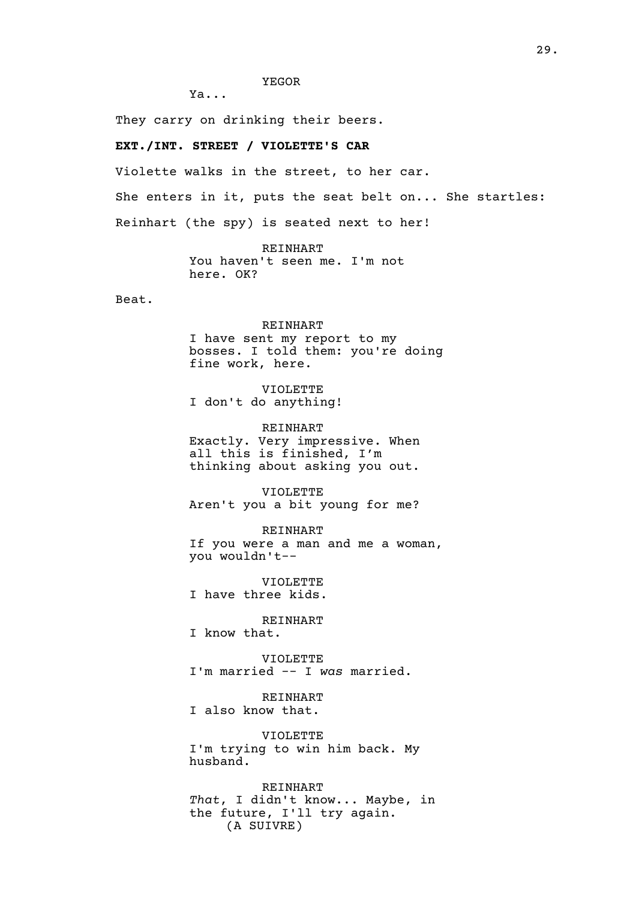#### YEGOR

Ya...

They carry on drinking their beers.

#### **EXT./INT. STREET / VIOLETTE'S CAR**

Violette walks in the street, to her car.

She enters in it, puts the seat belt on... She startles:

Reinhart (the spy) is seated next to her!

REINHART You haven't seen me. I'm not here. OK?

Beat.

## REINHART

I have sent my report to my bosses. I told them: you're doing fine work, here.

VIOLETTE I don't do anything!

REINHART Exactly. Very impressive. When all this is finished, I'm thinking about asking you out.

VIOLETTE Aren't you a bit young for me?

REINHART If you were a man and me a woman, you wouldn't--

VIOLETTE I have three kids.

REINHART

I know that.

VIOLETTE I'm married -- I *was* married.

REINHART I also know that.

VIOLETTE I'm trying to win him back. My husband.

REINHART *That*, I didn't know... Maybe, in the future, I'll try again. (A SUIVRE)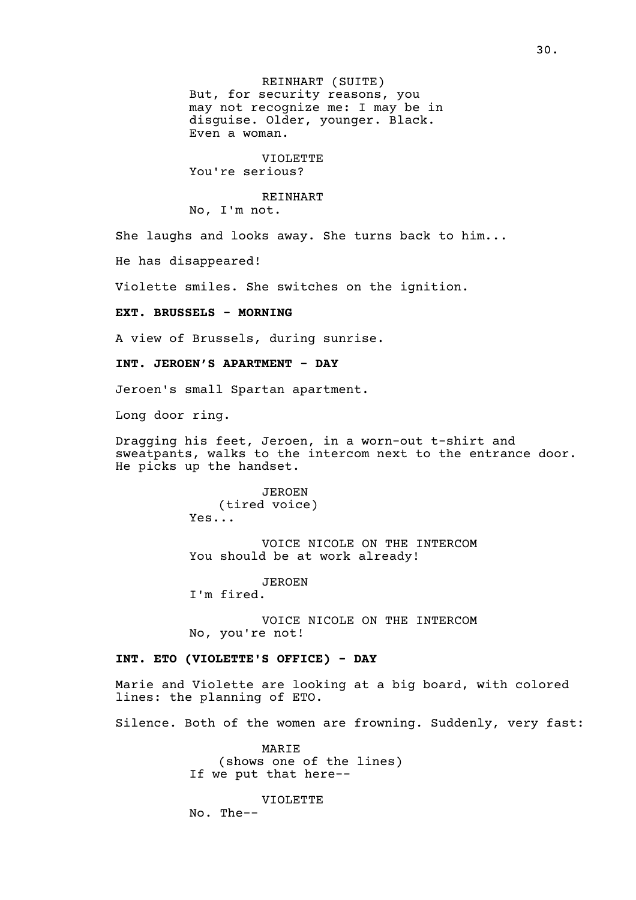REINHART (SUITE) But, for security reasons, you may not recognize me: I may be in disguise. Older, younger. Black. Even a woman.

VIOLETTE You're serious?

## REINHART

No, I'm not.

She laughs and looks away. She turns back to him...

He has disappeared!

Violette smiles. She switches on the ignition.

**EXT. BRUSSELS - MORNING**

A view of Brussels, during sunrise.

**INT. JEROEN'S APARTMENT - DAY**

Jeroen's small Spartan apartment.

Long door ring.

Dragging his feet, Jeroen, in a worn-out t-shirt and sweatpants, walks to the intercom next to the entrance door. He picks up the handset.

> JEROEN (tired voice) Yes...

VOICE NICOLE ON THE INTERCOM You should be at work already!

JEROEN I'm fired.

VOICE NICOLE ON THE INTERCOM No, you're not!

#### **INT. ETO (VIOLETTE'S OFFICE) - DAY**

Marie and Violette are looking at a big board, with colored lines: the planning of ETO.

Silence. Both of the women are frowning. Suddenly, very fast:

MARIE (shows one of the lines) If we put that here--

VIOLETTE No. The--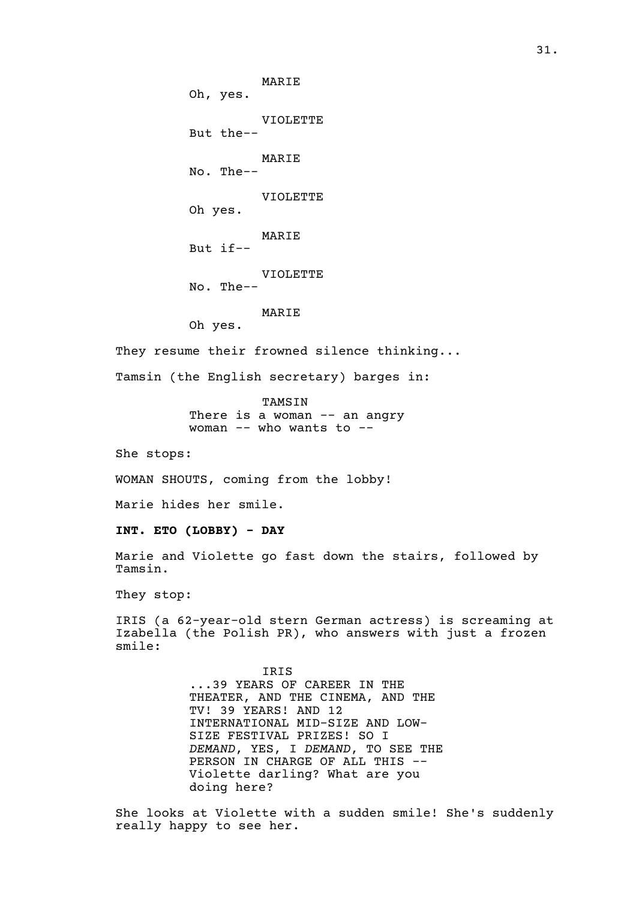MARIE Oh, yes. VIOLETTE But the-- MARIE No. The-- VIOLETTE Oh yes. MARIE But if-- VIOLETTE No. The-- MARIE Oh yes.

They resume their frowned silence thinking...

Tamsin (the English secretary) barges in:

TAMSIN There is a woman -- an angry woman -- who wants to --

She stops:

WOMAN SHOUTS, coming from the lobby!

Marie hides her smile.

**INT. ETO (LOBBY) - DAY**

Marie and Violette go fast down the stairs, followed by Tamsin.

They stop:

IRIS (a 62-year-old stern German actress) is screaming at Izabella (the Polish PR), who answers with just a frozen smile:

> IRIS ...39 YEARS OF CAREER IN THE THEATER, AND THE CINEMA, AND THE TV! 39 YEARS! AND 12 INTERNATIONAL MID-SIZE AND LOW-SIZE FESTIVAL PRIZES! SO I *DEMAND*, YES, I *DEMAND*, TO SEE THE PERSON IN CHARGE OF ALL THIS --Violette darling? What are you doing here?

She looks at Violette with a sudden smile! She's suddenly really happy to see her.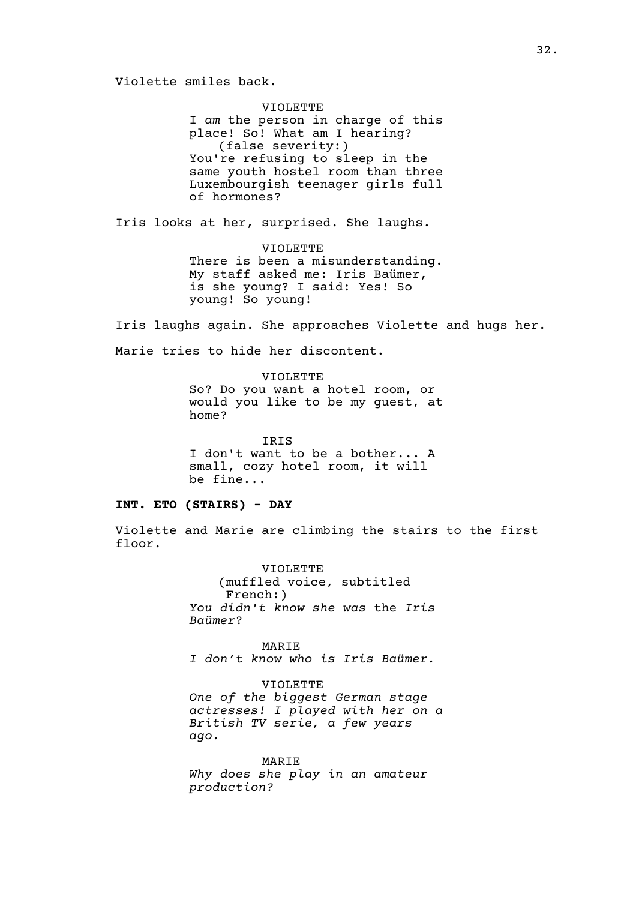VIOLETTE I *am* the person in charge of this place! So! What am I hearing? (false severity:) You're refusing to sleep in the same youth hostel room than three Luxembourgish teenager girls full of hormones?

Iris looks at her, surprised. She laughs.

VIOLETTE There is been a misunderstanding. My staff asked me: Iris Baümer, is she young? I said: Yes! So young! So young!

Iris laughs again. She approaches Violette and hugs her.

Marie tries to hide her discontent.

VIOLETTE So? Do you want a hotel room, or would you like to be my guest, at home?

IRIS I don't want to be a bother... A small, cozy hotel room, it will be fine...

#### **INT. ETO (STAIRS) - DAY**

Violette and Marie are climbing the stairs to the first floor.

> VIOLETTE (muffled voice, subtitled French:) *You didn't know she was* the *Iris Baümer*?

> MARIE *I don't know who is Iris Baümer.*

VIOLETTE *One of the biggest German stage actresses! I played with her on a British TV serie, a few years ago.*

MARIE *Why does she play in an amateur production?*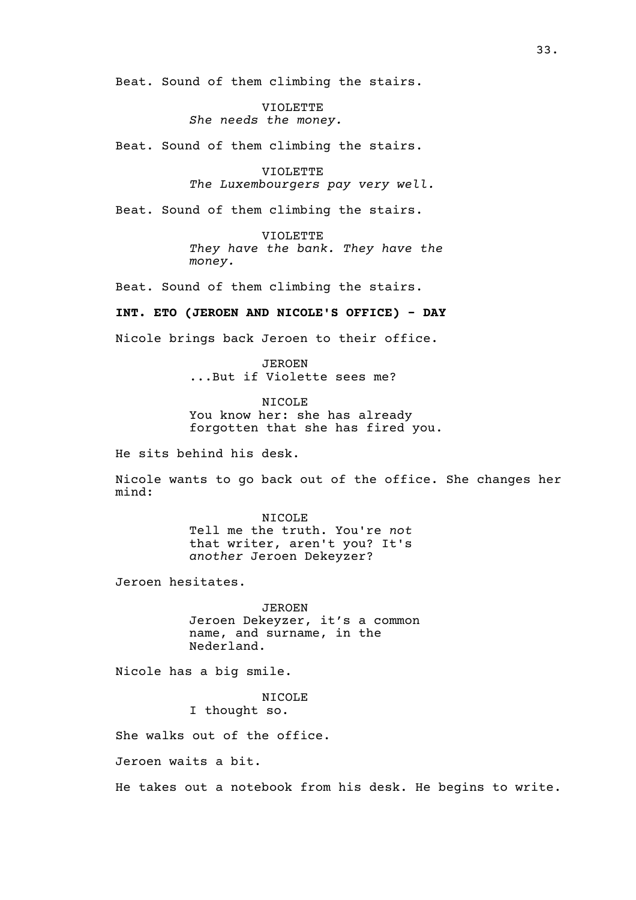Beat. Sound of them climbing the stairs.

VIOLETTE *She needs the money.*

Beat. Sound of them climbing the stairs.

VIOLETTE *The Luxembourgers pay very well.*

Beat. Sound of them climbing the stairs.

VIOLETTE *They have the bank. They have the money.*

Beat. Sound of them climbing the stairs.

**INT. ETO (JEROEN AND NICOLE'S OFFICE) - DAY**

Nicole brings back Jeroen to their office.

JEROEN ...But if Violette sees me?

NICOLE You know her: she has already forgotten that she has fired you.

He sits behind his desk.

Nicole wants to go back out of the office. She changes her mind:

> NICOLE Tell me the truth. You're *not* that writer, aren't you? It's *another* Jeroen Dekeyzer?

Jeroen hesitates.

JEROEN Jeroen Dekeyzer, it's a common name, and surname, in the Nederland.

Nicole has a big smile.

NICOLE I thought so.

She walks out of the office.

Jeroen waits a bit.

He takes out a notebook from his desk. He begins to write.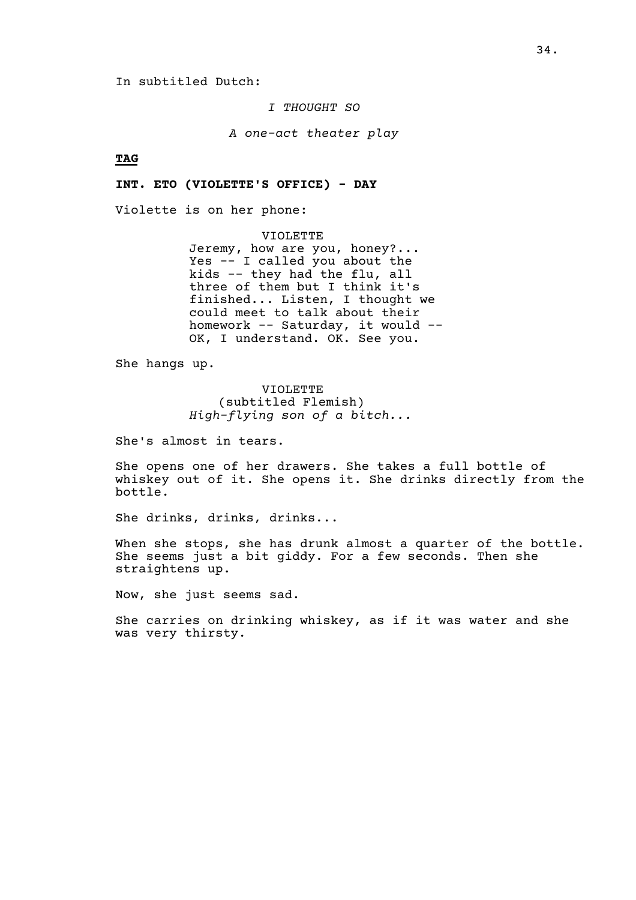In subtitled Dutch:

*I THOUGHT SO*

*A one-act theater play*

**TAG**

**INT. ETO (VIOLETTE'S OFFICE) - DAY**

Violette is on her phone:

VIOLETTE Jeremy, how are you, honey?... Yes -- I called you about the kids -- they had the flu, all three of them but I think it's finished... Listen, I thought we could meet to talk about their homework -- Saturday, it would -- OK, I understand. OK. See you.

She hangs up.

VIOLETTE (subtitled Flemish) *High-flying son of a bitch...*

She's almost in tears.

She opens one of her drawers. She takes a full bottle of whiskey out of it. She opens it. She drinks directly from the bottle.

She drinks, drinks, drinks...

When she stops, she has drunk almost a quarter of the bottle. She seems just a bit giddy. For a few seconds. Then she straightens up.

Now, she just seems sad.

She carries on drinking whiskey, as if it was water and she was very thirsty.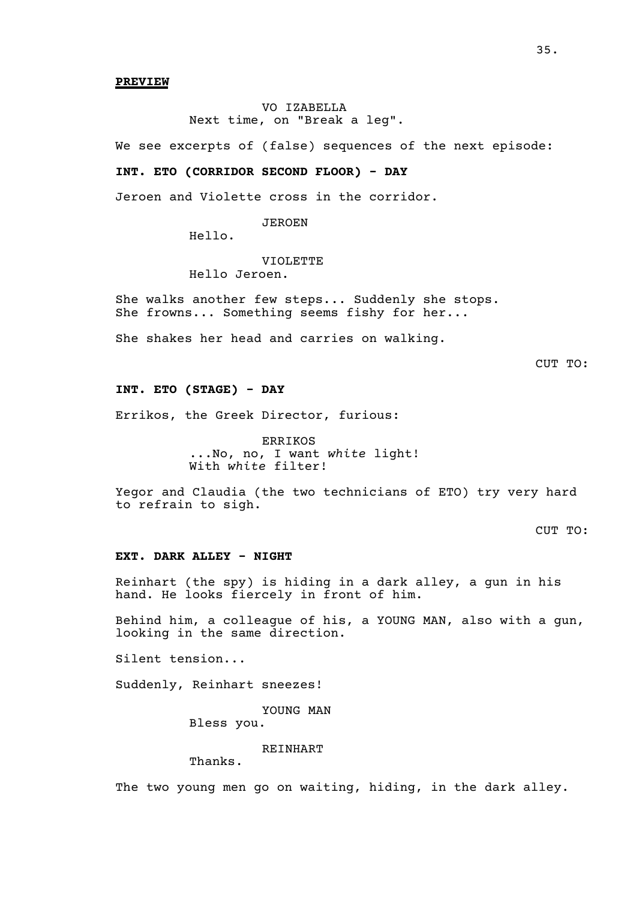**PREVIEW**

VO IZABELLA Next time, on "Break a leg".

We see excerpts of (false) sequences of the next episode:

#### **INT. ETO (CORRIDOR SECOND FLOOR) - DAY**

Jeroen and Violette cross in the corridor.

JEROEN

Hello.

## VIOLETTE

Hello Jeroen.

She walks another few steps... Suddenly she stops. She frowns... Something seems fishy for her...

She shakes her head and carries on walking.

CUT TO:

#### **INT. ETO (STAGE) - DAY**

Errikos, the Greek Director, furious:

ERRIKOS ...No, no, I want *white* light! With *white* filter!

Yegor and Claudia (the two technicians of ETO) try very hard to refrain to sigh.

CUT TO:

#### **EXT. DARK ALLEY - NIGHT**

Reinhart (the spy) is hiding in a dark alley, a gun in his hand. He looks fiercely in front of him.

Behind him, a colleague of his, a YOUNG MAN, also with a gun, looking in the same direction.

Silent tension...

Suddenly, Reinhart sneezes!

YOUNG MAN

Bless you.

## REINHART

Thanks.

The two young men go on waiting, hiding, in the dark alley.